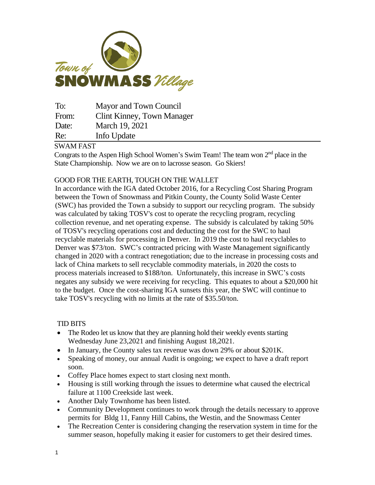

To: Mayor and Town Council From: Clint Kinney, Town Manager Date: March 19, 2021 Re: Info Update

## SWAM FAST

Congrats to the Aspen High School Women's Swim Team! The team won  $2<sup>nd</sup>$  place in the State Championship. Now we are on to lacrosse season. Go Skiers!

## GOOD FOR THE EARTH, TOUGH ON THE WALLET

In accordance with the IGA dated October 2016, for a Recycling Cost Sharing Program between the Town of Snowmass and Pitkin County, the County Solid Waste Center (SWC) has provided the Town a subsidy to support our recycling program. The subsidy was calculated by taking TOSV's cost to operate the recycling program, recycling collection revenue, and net operating expense. The subsidy is calculated by taking 50% of TOSV's recycling operations cost and deducting the cost for the SWC to haul recyclable materials for processing in Denver. In 2019 the cost to haul recyclables to Denver was \$73/ton. SWC's contracted pricing with Waste Management significantly changed in 2020 with a contract renegotiation; due to the increase in processing costs and lack of China markets to sell recyclable commodity materials, in 2020 the costs to process materials increased to \$188/ton. Unfortunately, this increase in SWC's costs negates any subsidy we were receiving for recycling. This equates to about a \$20,000 hit to the budget. Once the cost-sharing IGA sunsets this year, the SWC will continue to take TOSV's recycling with no limits at the rate of \$35.50/ton.

## TID BITS

- The Rodeo let us know that they are planning hold their weekly events starting Wednesday June 23,2021 and finishing August 18,2021.
- In January, the County sales tax revenue was down 29% or about \$201K.
- Speaking of money, our annual Audit is ongoing; we expect to have a draft report soon.
- Coffey Place homes expect to start closing next month.
- Housing is still working through the issues to determine what caused the electrical failure at 1100 Creekside last week.
- Another Daly Townhome has been listed.
- Community Development continues to work through the details necessary to approve permits for Bldg 11, Fanny Hill Cabins, the Westin, and the Snowmass Center
- The Recreation Center is considering changing the reservation system in time for the summer season, hopefully making it easier for customers to get their desired times.